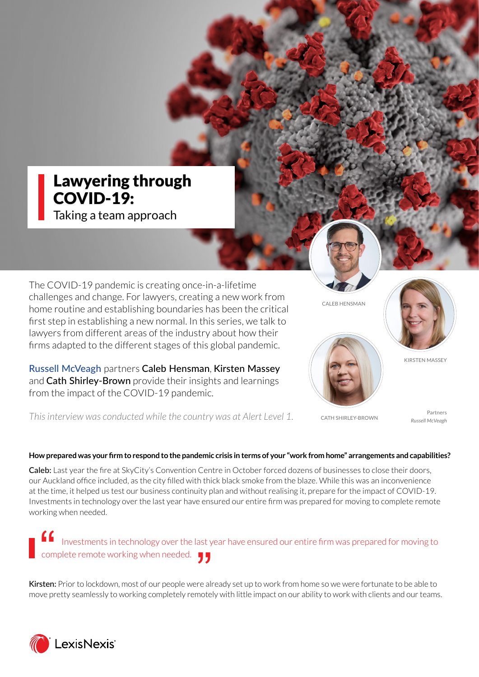# Lawyering through COVID-19:

Taking a team approach

The COVID-19 pandemic is creating once-in-a-lifetime challenges and change. For lawyers, creating a new work from home routine and establishing boundaries has been the critical first step in establishing a new normal. In this series, we talk to lawyers from different areas of the industry about how their firms adapted to the different stages of this global pandemic.

[Russell McVeagh](https://russellmcveagh.com/) partners [Caleb Hensman](https://www.russellmcveagh.com/our-people/caleb-hensman), [Kirsten Massey](https://www.russellmcveagh.com/our-people/kirsten-massey) and [Cath Shirley-Brown](https://www.russellmcveagh.com/our-people/cath-shirley-brown) provide their insights and learnings from the impact of the COVID-19 pandemic.



CALEB HENSMAN



CATH SHIRLEY-BROWN

Partners *Russell McVeagh*

KIRSTEN MASSEY

*This interview was conducted while the country was at Alert Level 1.*

# **How prepared was your firm to respond to the pandemic crisis in terms of your "work from home" arrangements and capabilities?**

Caleb: Last year the fire at SkyCity's Convention Centre in October forced dozens of businesses to close their doors, our Auckland office included, as the city filled with thick black smoke from the blaze. While this was an inconvenience at the time, it helped us test our business continuity plan and without realising it, prepare for the impact of COVID-19. Investments in technology over the last year have ensured our entire firm was prepared for moving to complete remote working when needed.

 Investments in technology over the last year have ensured our entire firm was prepared for moving to complete remote working when needed.  $^{\bullet}$   $^{\bullet}$ "

Kirsten: Prior to lockdown, most of our people were already set up to work from home so we were fortunate to be able to move pretty seamlessly to working completely remotely with little impact on our ability to work with clients and our teams.

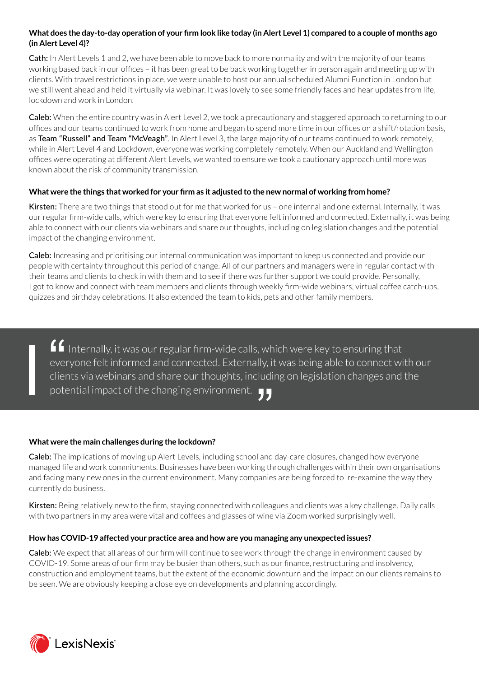# **What does the day-to-day operation of your firm look like today (in Alert Level 1) compared to a couple of months ago (in Alert Level 4)?**

Cath: In Alert Levels 1 and 2, we have been able to move back to more normality and with the majority of our teams working based back in our offices – it has been great to be back working together in person again and meeting up with clients. With travel restrictions in place, we were unable to host our annual scheduled Alumni Function in London but we still went ahead and held it virtually via webinar. It was lovely to see some friendly faces and hear updates from life, lockdown and work in London.

Caleb: When the entire country was in Alert Level 2, we took a precautionary and staggered approach to returning to our offices and our teams continued to work from home and began to spend more time in our offices on a shift/rotation basis, as Team "Russell" and Team "McVeagh". In Alert Level 3, the large majority of our teams continued to work remotely, while in Alert Level 4 and Lockdown, everyone was working completely remotely. When our Auckland and Wellington offices were operating at different Alert Levels, we wanted to ensure we took a cautionary approach until more was known about the risk of community transmission.

## **What were the things that worked for your firm as it adjusted to the new normal of working from home?**

Kirsten: There are two things that stood out for me that worked for us - one internal and one external. Internally, it was our regular firm-wide calls, which were key to ensuring that everyone felt informed and connected. Externally, it was being able to connect with our clients via webinars and share our thoughts, including on legislation changes and the potential impact of the changing environment.

Caleb: Increasing and prioritising our internal communication was important to keep us connected and provide our people with certainty throughout this period of change. All of our partners and managers were in regular contact with their teams and clients to check in with them and to see if there was further support we could provide. Personally, I got to know and connect with team members and clients through weekly firm-wide webinars, virtual coffee catch-ups, quizzes and birthday celebrations. It also extended the team to kids, pets and other family members.

■ Internally, it was our regular firm-wide calls, which were key to ensuring that everyone felt informed and connected. Externally, it was being able to connect with clients via webinars and share our thoughts, including everyone felt informed and connected. Externally, it was being able to connect with our clients via webinars and share our thoughts, including on legislation changes and the potential impact of the changing environment. "

#### **What were the main challenges during the lockdown?**

Caleb: The implications of moving up Alert Levels, including school and day-care closures, changed how everyone managed life and work commitments. Businesses have been working through challenges within their own organisations and facing many new ones in the current environment. Many companies are being forced to re-examine the way they currently do business.

Kirsten: Being relatively new to the firm, staying connected with colleagues and clients was a key challenge. Daily calls with two partners in my area were vital and coffees and glasses of wine via Zoom worked surprisingly well.

#### **How has COVID-19 affected your practice area and how are you managing any unexpected issues?**

Caleb: We expect that all areas of our firm will continue to see work through the change in environment caused by COVID-19. Some areas of our firm may be busier than others, such as our finance, restructuring and insolvency, construction and employment teams, but the extent of the economic downturn and the impact on our clients remains to be seen. We are obviously keeping a close eye on developments and planning accordingly.

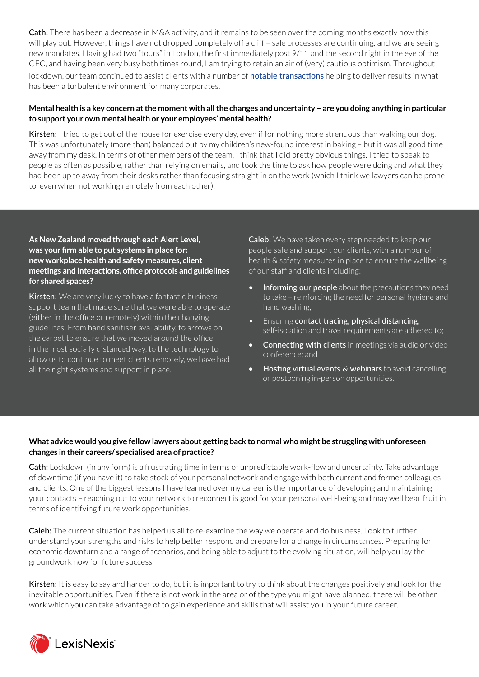Cath: There has been a decrease in M&A activity, and it remains to be seen over the coming months exactly how this will play out. However, things have not dropped completely off a cliff – sale processes are continuing, and we are seeing new mandates. Having had two "tours" in London, the first immediately post 9/11 and the second right in the eye of the GFC, and having been very busy both times round, I am trying to retain an air of (very) cautious optimism. Throughout lockdown, our team continued to assist clients with a number of **[notable transactions]( https://www.russellmcveagh.com/insights/june-2020-1/russell-mcveagh-assists-clients-with-significant-t)** helping to deliver results in what has been a turbulent environment for many corporates.

## **Mental health is a key concern at the moment with all the changes and uncertainty – are you doing anything in particular to support your own mental health or your employees' mental health?**

Kirsten: I tried to get out of the house for exercise every day, even if for nothing more strenuous than walking our dog. This was unfortunately (more than) balanced out by my children's new-found interest in baking – but it was all good time away from my desk. In terms of other members of the team, I think that I did pretty obvious things. I tried to speak to people as often as possible, rather than relying on emails, and took the time to ask how people were doing and what they had been up to away from their desks rather than focusing straight in on the work (which I think we lawyers can be prone to, even when not working remotely from each other).

# **As New Zealand moved through each Alert Level, was your firm able to put systems in place for: new workplace health and safety measures, client meetings and interactions, office protocols and guidelines for shared spaces?**

Kirsten: We are very lucky to have a fantastic business support team that made sure that we were able to operate (either in the office or remotely) within the changing guidelines. From hand sanitiser availability, to arrows on the carpet to ensure that we moved around the office in the most socially distanced way, to the technology to allow us to continue to meet clients remotely, we have had all the right systems and support in place.

Caleb: We have taken every step needed to keep our people safe and support our clients, with a number of health & safety measures in place to ensure the wellbeing of our staff and clients including:

- Informing our people about the precautions they need to take – reinforcing the need for personal hygiene and hand washing,
- Ensuring contact tracing, physical distancing, self-isolation and travel requirements are adhered to;
- **Connecting with clients** in meetings via audio or video conference; and
- Hosting virtual events & webinars to avoid cancelling or postponing in-person opportunities.

# **What advice would you give fellow lawyers about getting back to normal who might be struggling with unforeseen changes in their careers/ specialised area of practice?**

Cath: Lockdown (in any form) is a frustrating time in terms of unpredictable work-flow and uncertainty. Take advantage of downtime (if you have it) to take stock of your personal network and engage with both current and former colleagues and clients. One of the biggest lessons I have learned over my career is the importance of developing and maintaining your contacts – reaching out to your network to reconnect is good for your personal well-being and may well bear fruit in terms of identifying future work opportunities.

Caleb: The current situation has helped us all to re-examine the way we operate and do business. Look to further understand your strengths and risks to help better respond and prepare for a change in circumstances. Preparing for economic downturn and a range of scenarios, and being able to adjust to the evolving situation, will help you lay the groundwork now for future success.

Kirsten: It is easy to say and harder to do, but it is important to try to think about the changes positively and look for the inevitable opportunities. Even if there is not work in the area or of the type you might have planned, there will be other work which you can take advantage of to gain experience and skills that will assist you in your future career.